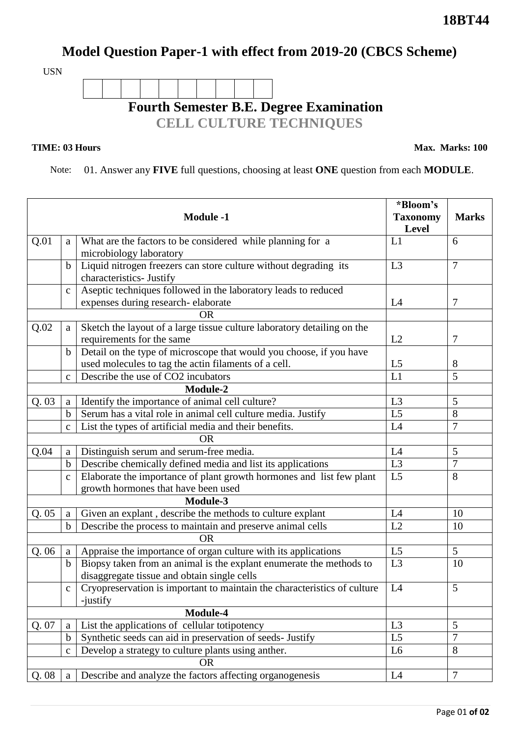## **Model Question Paper-1 with effect from 2019-20 (CBCS Scheme)**

USN



**TIME: 03 Hours** Max. Marks: 100

Note: 01. Answer any **FIVE** full questions, choosing at least **ONE** question from each **MODULE**.

| <b>Module -1</b> |              |                                                                                      | *Bloom's        |                |
|------------------|--------------|--------------------------------------------------------------------------------------|-----------------|----------------|
|                  |              |                                                                                      | <b>Taxonomy</b> | <b>Marks</b>   |
|                  |              |                                                                                      |                 |                |
| Q.01             | a            | What are the factors to be considered while planning for a                           | L1              | 6              |
|                  |              | microbiology laboratory                                                              |                 |                |
|                  | $\mathbf b$  | Liquid nitrogen freezers can store culture without degrading its                     | L <sub>3</sub>  | 7              |
|                  |              | characteristics- Justify                                                             |                 |                |
|                  | $\mathbf{C}$ | Aseptic techniques followed in the laboratory leads to reduced                       |                 |                |
|                  |              | expenses during research-elaborate                                                   | L4              | 7              |
|                  |              | <b>OR</b>                                                                            |                 |                |
| Q.02             | a            | Sketch the layout of a large tissue culture laboratory detailing on the              |                 |                |
|                  |              | requirements for the same                                                            | L2              | 7              |
|                  | $\mathbf b$  | Detail on the type of microscope that would you choose, if you have                  |                 |                |
|                  |              | used molecules to tag the actin filaments of a cell.                                 | L <sub>5</sub>  | 8              |
|                  | $\mathbf C$  | Describe the use of CO2 incubators                                                   | L1              | 5              |
| Module-2         |              |                                                                                      |                 |                |
| Q.03             | a            | Identify the importance of animal cell culture?                                      | L <sub>3</sub>  | 5              |
|                  | $\mathbf b$  | Serum has a vital role in animal cell culture media. Justify                         | L <sub>5</sub>  | 8              |
|                  | $\mathbf{C}$ | List the types of artificial media and their benefits.                               | L4              | $\overline{7}$ |
| <b>OR</b>        |              |                                                                                      |                 |                |
| Q.04             | a            | Distinguish serum and serum-free media.                                              | L4              | 5              |
|                  | $\mathbf b$  | Describe chemically defined media and list its applications                          | L <sub>3</sub>  | $\overline{7}$ |
|                  | $\mathbf C$  | Elaborate the importance of plant growth hormones and list few plant                 | L <sub>5</sub>  | 8              |
|                  |              | growth hormones that have been used                                                  |                 |                |
| Module-3         |              |                                                                                      |                 |                |
| Q.05             | a            | Given an explant, describe the methods to culture explant                            | L4              | 10             |
|                  | $\mathbf b$  | Describe the process to maintain and preserve animal cells                           | L2              | 10             |
|                  |              |                                                                                      |                 |                |
| Q.06             | a            | Appraise the importance of organ culture with its applications                       | L <sub>5</sub>  | $\mathfrak{S}$ |
|                  | $\mathbf b$  | Biopsy taken from an animal is the explant enumerate the methods to                  | L <sub>3</sub>  | 10             |
|                  |              | disaggregate tissue and obtain single cells                                          |                 |                |
|                  |              | Cryopreservation is important to maintain the characteristics of culture<br>-justify | L4              | 5              |
| Module-4         |              |                                                                                      |                 |                |
| Q. 07            | a            | List the applications of cellular totipotency                                        | L <sub>3</sub>  | 5              |
|                  | $\mathbf b$  | Synthetic seeds can aid in preservation of seeds- Justify                            | L <sub>5</sub>  | $\overline{7}$ |
|                  | $\mathbf{C}$ | Develop a strategy to culture plants using anther.                                   | L <sub>6</sub>  | 8              |
|                  |              | <b>OR</b>                                                                            |                 |                |
| Q. 08            | a            | Describe and analyze the factors affecting organogenesis                             | L4              | $\overline{7}$ |
|                  |              |                                                                                      |                 |                |